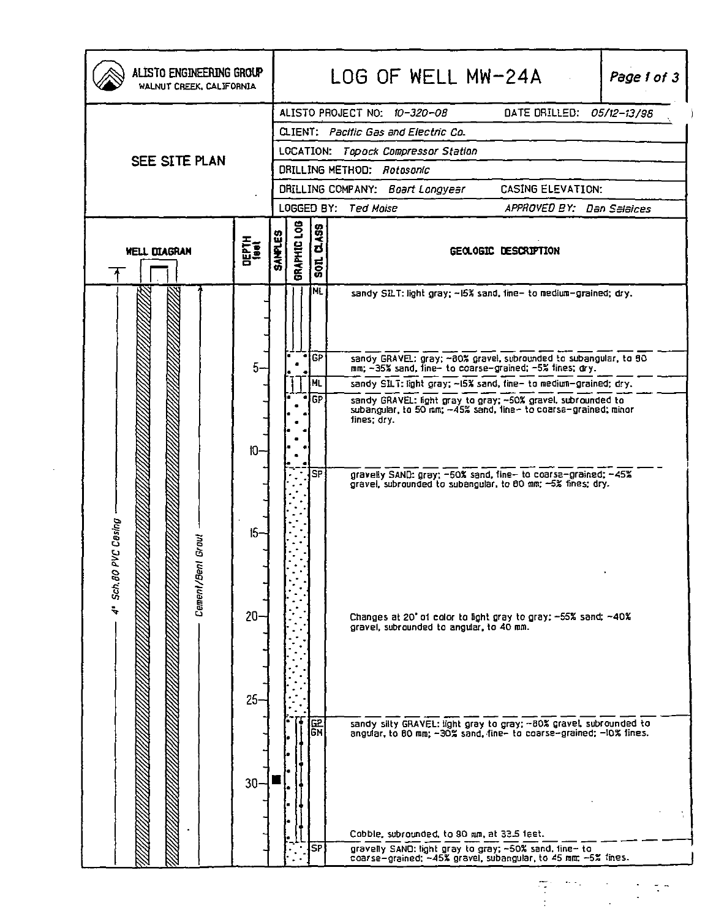|                         |               |                |             |                                        | ALISTO PROJECT NO: 10-320-08<br>DATE DRILLED: 05/12-13/98                                                                                   |
|-------------------------|---------------|----------------|-------------|----------------------------------------|---------------------------------------------------------------------------------------------------------------------------------------------|
|                         |               |                |             |                                        | CLIENT: Pacific Gas and Electric Co.                                                                                                        |
| SEE SITE PLAN           |               |                |             |                                        | LOCATION: Topock Compressor Station                                                                                                         |
|                         |               |                |             |                                        | DRILLING METHOD: Rotosonic                                                                                                                  |
|                         |               |                |             |                                        | DRILLING COMPANY: Boart Longyesr<br><b>CASING ELEVATION:</b>                                                                                |
|                         |               |                |             |                                        | LOGGED BY: Ted Moise<br>APPROVED BY: Dan Seleices                                                                                           |
| <b>WELL DIAGRAM</b>     | DEPTH<br>1001 | <b>SAMPLES</b> | BRAPHIC LOG | 453<br>$\overline{\mathbf{c}}$<br>1008 | GEOLOGIC DESCRIPTION                                                                                                                        |
|                         |               |                |             | INL.                                   | sandy SILT: light gray; -15% sand, line- to medium-grained; dry.                                                                            |
|                         | 5.            |                |             | GP                                     | sandy GRAVEL: gray; ~80% gravel, subrounded to subangular, to 80<br>mm; -35% sand, fine- to coarse-grained; -5% fines; dry.                 |
|                         |               |                |             | ML                                     | sandy SILT: light gray; ~15% sand, fine- to medium-grained; dry.                                                                            |
|                         |               |                |             | GP                                     | sandy GRAVEL: light gray to gray; ~50% gravel, subrounded to subangular, to 50 nm; ~45% sand, line~ to coarse-grained; minor<br>fines; dry. |
|                         | $10-$         |                |             |                                        |                                                                                                                                             |
| PVC Casing<br>Gravl     | $15-$         |                |             | <b>SP</b>                              | gravelly SAND: gray: -50% sand, fine- to coarse-grained: -45%<br>gravel, subrounded to subangular, to 80 mm; -5% fines; dry.                |
| Cement/Ber<br>4" Sch.80 | $20 -$        |                |             |                                        | Changes at 20' of color to fight gray to gray: -55% sand; ~40%<br>gravel, subrounded to angular, to 40 mm.                                  |
|                         | $25 -$        |                |             | 요<br>GM                                | sandy silty GRAVEL: light gray to gray: -80% gravel, subrounded to angular, to 80 mm; -30% sand, fine- to coarse-grained; -10% fines.       |
|                         | $30 -$        |                |             |                                        |                                                                                                                                             |
|                         |               |                |             |                                        | Cobble, subrounded, to 90 mm, at 33.5 feet.                                                                                                 |
|                         |               |                |             | <b>SP</b>                              | gravelly SAND: light gray to gray; ~50% sand, fine- to<br>coarse-grained; ~45% gravel, subangular, to 45 mm; ~5% tines.                     |

 $\Delta \sim 10^4$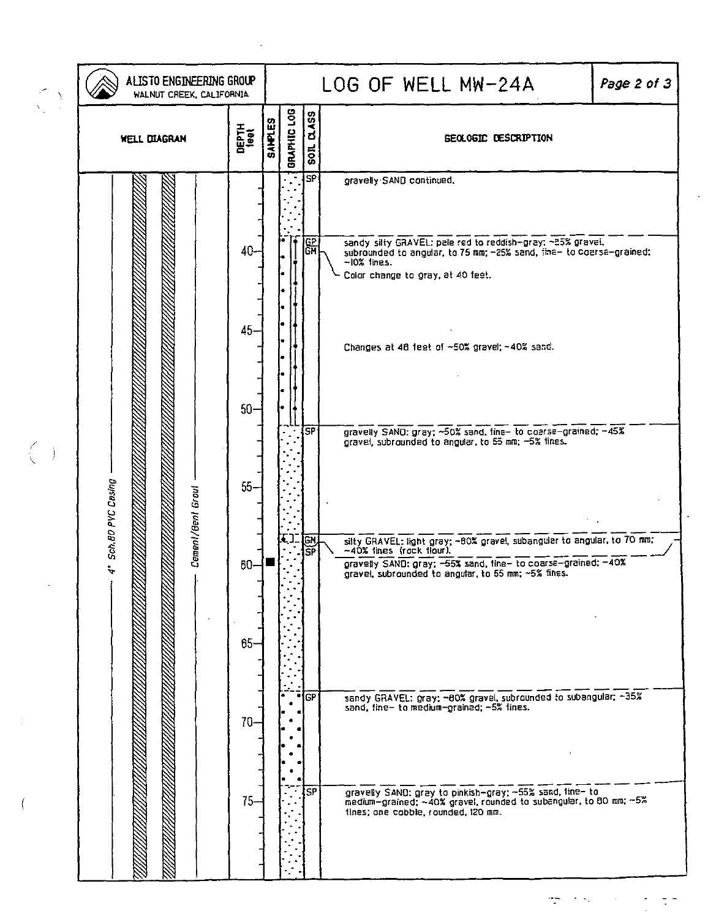|                                               | ALISTO ENGINEERING GROUP<br>WALNUT CREEK, CALIFORNIA      |                                                                        |  |                               |                                                                | LOG OF WELL MW-24A<br>Page 2 of 3                                                                                                                                                                                                                                                                                                                                                                                                                                                                                                                                                                                                                                                                                                                                                                                                                                                                                 |  |
|-----------------------------------------------|-----------------------------------------------------------|------------------------------------------------------------------------|--|-------------------------------|----------------------------------------------------------------|-------------------------------------------------------------------------------------------------------------------------------------------------------------------------------------------------------------------------------------------------------------------------------------------------------------------------------------------------------------------------------------------------------------------------------------------------------------------------------------------------------------------------------------------------------------------------------------------------------------------------------------------------------------------------------------------------------------------------------------------------------------------------------------------------------------------------------------------------------------------------------------------------------------------|--|
|                                               | <b>DEPTH</b><br>1eet<br><b>WELL DIAGRAN</b>               |                                                                        |  | GRAPHIC LOG<br><b>SAMPLES</b> | <b>CLASS</b><br>SOIL                                           | <b>GEOLOGIC DESCRIPTION</b>                                                                                                                                                                                                                                                                                                                                                                                                                                                                                                                                                                                                                                                                                                                                                                                                                                                                                       |  |
| $\left(\begin{array}{c} 0 \end{array}\right)$ | Sch.80 PVC Casing<br>Cement/Bent Grout<br>$\ddot{\bm{z}}$ | 40-<br>45-<br>$50-$<br>$55 -$<br>$60 - $<br>$65 -$<br>$70 -$<br>$75 -$ |  |                               | <b>SP</b><br>)다.<br> GH<br><b>SP</b><br>įСM<br>ŠŔ<br>[CP<br>SP | gravelly SAND continued.<br>sandy silty GRAVEL: pale red to reddish-gray: ~85% gravel,<br>subrounded to angular, to 75 mm; -25% sand, the- to coarse-grained:<br>~10% lines.<br>Color change to gray, at 40 feet.<br>Changes at 46 feet of ~50% gravel; ~40% sand.<br>gravelly SAND: gray; ~50% sand, fine- to coarse-grained; ~45%<br>gravel, subrounded to angular, to 55 mm; -5% fines.<br>silty GRAVEL: light gray; -00% gravel, subangular to angular, to 70 mm;<br>~40% lines (rock flour).<br>gravelly SAND: gray; -55% sand, fine- to coarse-grained; -40%<br>gravel, subrounded to angular, to 55 mm; ~5% fines.<br>sandy GRAVEL: gray; ~60% gravel, subrounded to subangular; ~35%<br>sand, fine- to medium-grained; ~5% fines.<br>gravelly SAND: gray to pinkish-gray: -55% sand, line- to<br>medium-grained: ~40% gravel, rounded to subangular, to 80 mm; -5%<br>tines; one cobble, rounded, I20 mm. |  |

 $\mathcal{L}^{\text{max}}_{\text{max}}$  and  $\mathcal{L}^{\text{max}}_{\text{max}}$ 

 $\left(\begin{array}{c} \zeta \\ \zeta \end{array}\right)$ 

 $\frac{1}{2}$ 

 $\overline{\mathcal{L}}$ 

 $\frac{1}{2}$